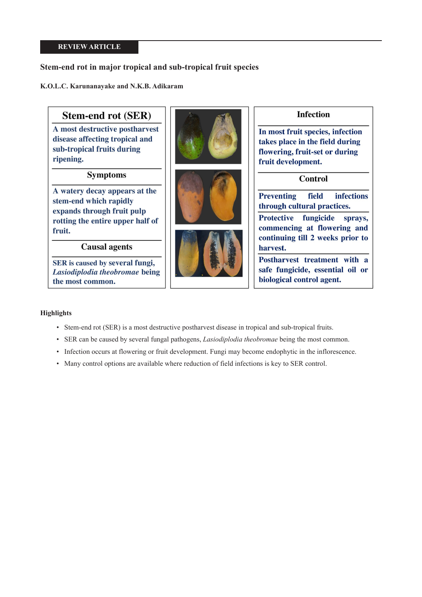### **REVIEW ARTICLE**

# **Stem-end rot in major tropical and sub-tropical fruit species**

**K.O.L.C. Karunanayake and N.K.B. Adikaram**

| <b>Stem-end rot (SER)</b>                                                                                   |  | <b>Infection</b>                                                                                                            |
|-------------------------------------------------------------------------------------------------------------|--|-----------------------------------------------------------------------------------------------------------------------------|
| A most destructive postharvest<br>disease affecting tropical and<br>sub-tropical fruits during<br>ripening. |  | In most fruit species, infection<br>takes place in the field during<br>flowering, fruit-set or during<br>fruit development. |
| <b>Symptoms</b>                                                                                             |  | <b>Control</b>                                                                                                              |
| A watery decay appears at the<br>stem-end which rapidly<br>expands through fruit pulp                       |  | <b>infections</b><br><b>Preventing</b><br>field<br>through cultural practices.                                              |
| rotting the entire upper half of<br>fruit.                                                                  |  | Protective fungicide<br>sprays,<br>commencing at flowering and<br>continuing till 2 weeks prior to                          |
| <b>Causal agents</b>                                                                                        |  | harvest.                                                                                                                    |
| SER is caused by several fungi,<br>Lasiodiplodia theobromae being<br>the most common.                       |  | Postharvest treatment with a<br>safe fungicide, essential oil or<br>biological control agent.                               |

### **Highlights**

- Stem-end rot (SER) is a most destructive postharvest disease in tropical and sub-tropical fruits.
- SER can be caused by several fungal pathogens, *Lasiodiplodia theobromae* being the most common.
- Infection occurs at flowering or fruit development. Fungi may become endophytic in the inflorescence.
- Many control options are available where reduction of field infections is key to SER control.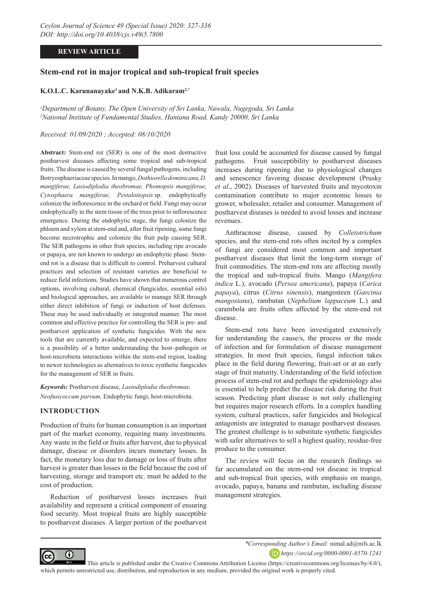# **REVIEW ARTICLE**

# **Stem-end rot in major tropical and sub-tropical fruit species**

### **K.O.L.C. Karunanayake1 and N.K.B. Adikaram2,\***

*1 Department of Botany, The Open University of Sri Lanka, Nawala, Nugegoda, Sri Lanka 2 National Institute of Fundamental Studies, Hantana Road, Kandy 20000, Sri Lanka*

### *Received: 01/09/2020 ; Accepted: 08/10/2020*

**Abstract:** Stem-end rot (SER) is one of the most destructive postharvest diseases affecting some tropical and sub-tropical fruits. The disease is caused by several fungal pathogens, including Botryosphaeriaceae species. In mango, *Dothiorella dominicana, D. mangiferae, Lasiodiplodia theobromae, Phomopsis mangiferae, Cytosphaera mangiferae, Pestalotiopsis* sp. endophytically colonize the inflorescence in the orchard or field. Fungi may occur endophytically in the stem tissue of the trees prior to inflorescence emergence. During the endophytic stage, the fungi colonize the phloem and xylem at stem-end and, after fruit ripening, some fungi become necrotrophic and colonize the fruit pulp causing SER. The SER pathogens in other fruit species, including ripe avocado or papaya, are not known to undergo an endophytic phase. Stemend rot is a disease that is difficult to control. Preharvest cultural practices and selection of resistant varieties are beneficial to reduce field infections. Studies have shown that numerous control options, involving cultural, chemical (fungicides, essential oils) and biological approaches, are available to manage SER through either direct inhibition of fungi or induction of host defenses. These may be used individually or integrated manner. The most common and effective practice for controlling the SER is pre- and postharvest application of synthetic fungicides. With the new tools that are currently available, and expected to emerge, there is a possibility of a better understanding the host–pathogen or host-microbiota interactions within the stem-end region, leading to newer technologies as alternatives to toxic synthetic fungicides for the management of SER in fruits.

*Keywords:* Postharvest disease, *Lasiodiplodia theobromae, Neofusicoccum parvum,* Endophytic fungi, host-microbiota.

#### **INTRODUCTION**

⋒

Production of fruits for human consumption is an important part of the market economy, requiring many investments. Any waste in the field or fruits after harvest, due to physical damage, disease or disorders incurs monetary losses. In fact, the monetary loss due to damage or loss of fruits after harvest is greater than losses in the field because the cost of harvesting, storage and transport etc. must be added to the cost of production.

Reduction of postharvest losses increases fruit availability and represent a critical component of ensuring food security. Most tropical fruits are highly susceptible to postharvest diseases. A larger portion of the postharvest

fruit loss could be accounted for disease caused by fungal pathogens. Fruit susceptibility to postharvest diseases increases during ripening due to physiological changes and senescence favoring disease development (Prusky *et al*., 2002). Diseases of harvested fruits and mycotoxin contamination contribute to major economic losses to grower, wholesaler, retailer and consumer. Management of postharvest diseases is needed to avoid losses and increase revenues.

Anthracnose disease, caused by *Colletotrichum* species, and the stem-end rots often incited by a complex of fungi are considered most common and important postharvest diseases that limit the long-term storage of fruit commodities. The stem-end rots are affecting mostly the tropical and sub-tropical fruits. Mango (*Mangifera indica* L*.*), avocado (*Persea americana*), papaya (*Carica papaya*), citrus (*Citrus sinensis*), mangosteen (*Garcinia mangostana*), rambutan (*Nephelium lappaceum* L.) and carambola are fruits often affected by the stem-end rot disease.

Stem-end rots have been investigated extensively for understanding the cause/s, the process or the mode of infection and for formulation of disease management strategies. In most fruit species, fungal infection takes place in the field during flowering, fruit-set or at an early stage of fruit maturity. Understanding of the field infection process of stem-end rot and perhaps the epidemiology also is essential to help predict the disease risk during the fruit season. Predicting plant disease is not only challenging but requires major research efforts. In a complex handling system, cultural practices, safer fungicides and biological antagonists are integrated to manage postharvest diseases. The greatest challenge is to substitute synthetic fungicides with safer alternatives to sell a highest quality, residue-free produce to the consumer.

The review will focus on the research findings so far accumulated on the stem-end rot disease in tropical and sub-tropical fruit species, with emphasis on mango, avocado, papaya, banana and rambutan, including disease management strategies.

# *\*Corresponding Author's Email:* nimal.ad@nifs.ac.lk

*https://orcid.org/0000-0001-8570-1241*

 This article is published under the Creative Commons Attribution License (https://creativecommons.org/licenses/by/4.0/), which permits unrestricted use, distribution, and reproduction in any medium, provided the original work is properly cited.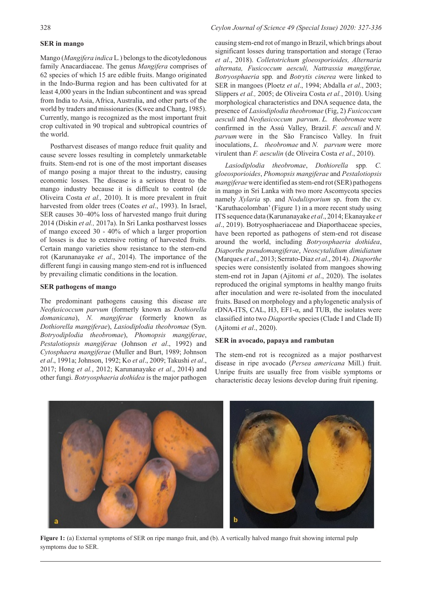### **SER in mango**

Mango (*Mangifera indica* L*.*) belongs to the dicotyledonous family Anacardiaceae. The genus *Mangifera* comprises of 62 species of which 15 are edible fruits. Mango originated in the Indo-Burma region and has been cultivated for at least 4,000 years in the Indian subcontinent and was spread from India to Asia, Africa, Australia, and other parts of the world by traders and missionaries (Kwee and Chang, 1985). Currently, mango is recognized as the most important fruit crop cultivated in 90 tropical and subtropical countries of the world.

Postharvest diseases of mango reduce fruit quality and cause severe losses resulting in completely unmarketable fruits. Stem-end rot is one of the most important diseases of mango posing a major threat to the industry, causing economic losses. The disease is a serious threat to the mango industry because it is difficult to control (de Oliveira Costa *et al.,* 2010). It is more prevalent in fruit harvested from older trees (Coates *et al*., 1993). In Israel, SER causes 30–40% loss of harvested mango fruit during 2014 (Diskin *et al.,* 2017a). In Sri Lanka postharvest losses of mango exceed 30 - 40% of which a larger proportion of losses is due to extensive rotting of harvested fruits. Certain mango varieties show resistance to the stem-end rot (Karunanayake *et al*., 2014). The importance of the different fungi in causing mango stem-end rot is influenced by prevailing climatic conditions in the location.

#### **SER pathogens of mango**

The predominant pathogens causing this disease are *Neofusicoccum parvum* (formerly known as *Dothiorella domanicana*), *N. mangiferae* (formerly known as *Dothiorella mangiferae*), *Lasiodiplodia theobromae* (Syn. *Botryodiplodia theobromae*), *Phomopsis mangiferae*, *Pestalotiopsis mangiferae* (Johnson *et al*., 1992) and *Cytosphaera mangiferae* (Muller and Burt, 1989; Johnson *et al*., 1991a; Johnson, 1992; Ko *et al*., 2009; Takushi *et al*., 2017; Hong *et al.*, 2012; Karunanayake *et al*., 2014) and other fungi. *Botryosphaeria dothidea* is the major pathogen

causing stem-end rot of mango in Brazil, which brings about significant losses during transportation and storage (Terao *et al*., 2018). *Colletotrichum gloeosporioides, Alternaria alternata, Fusicoccum aesculi, Nattrassia mangiferae, Botryosphaeria* spp*.* and *Botrytis cinerea* were linked to SER in mangoes (Ploetz *et al*., 1994; Abdalla *et al*., 2003; Slippers *et al.,* 2005; de Oliveira Costa *et al.*, 2010). Using morphological characteristics and DNA sequence data, the presence of *Lasiodiplodia theobromae* (Fig, 2) *Fusicoccum aesculi* and *Neofusicoccum parvum*. *L. theobromae* were confirmed in the Assú Valley, Brazil. *F. aesculi* and *N. parvum* were in the São Francisco Valley. In fruit inoculations, *L. theobromae* and *N. parvum* were more virulent than *F. aesculin* (de Oliveira Costa *et al*., 2010).

*Lasiodiplodia theobromae*, *Dothiorella* spp*. C. gloeosporioides*, *Phomopsis mangiferae* and *Pestalotiopsis mangiferae* were identified as stem-end rot (SER) pathogens in mango in Sri Lanka with two more Ascomycota species namely *Xylaria* sp. and *Nodulisporium* sp. from the cv. 'Karuthacolomban' (Figure 1) in a more recent study using ITS sequence data (Karunanayake *et al*., 2014; Ekanayake *et al*., 2019). Botryosphaeriaceae and Diaporthaceae species, have been reported as pathogens of stem-end rot disease around the world, including *Botryosphaeria dothidea*, *Diaporthe pseudomangiferae*, *Neoscytalidium dimidiatum* (Marques *et al*., 2013; Serrato-Diaz *et al*., 2014). *Diaporthe* species were consistently isolated from mangoes showing stem-end rot in Japan (Ajitomi *et al*., 2020). The isolates reproduced the original symptoms in healthy mango fruits after inoculation and were re-isolated from the inoculated fruits. Based on morphology and a phylogenetic analysis of rDNA-ITS, CAL, H3,  $EF1-\alpha$ , and TUB, the isolates were classified into two *Diaporthe* species (Clade I and Clade II) (Ajitomi *et al*., 2020).

### **SER in avocado, papaya and rambutan**

The stem-end rot is recognized as a major postharvest disease in ripe avocado (*Persea americana* Mill.) fruit. Unripe fruits are usually free from visible symptoms or characteristic decay lesions develop during fruit ripening.



**Figure 1:** (a) External symptoms of SER on ripe mango fruit, and (b). A vertically halved mango fruit showing internal pulp symptoms due to SER.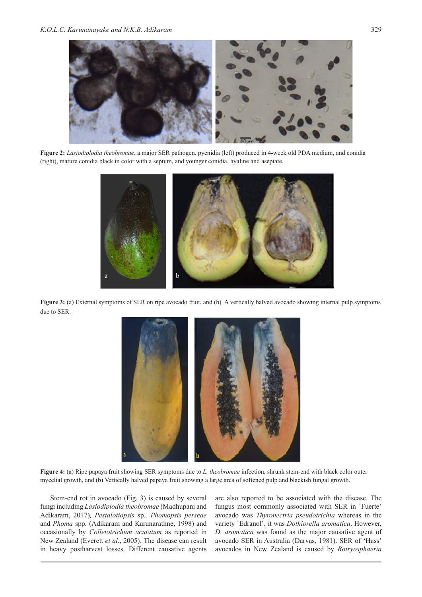

**Figure 2:** *Lasiodiplodia theobromae*, a major SER pathogen, pycnidia (left) produced in 4-week old PDA medium, and conidia (right), mature conidia black in color with a septum, and younger conidia, hyaline and aseptate.



**Figure 3:** (a) External symptoms of SER on ripe avocado fruit, and (b). A vertically halved avocado showing internal pulp symptoms due to SER.



**Figure 4:** (a) Ripe papaya fruit showing SER symptoms due to *L. theobromae* infection, shrunk stem-end with black color outer mycelial growth, and (b) Vertically halved papaya fruit showing a large area of softened pulp and blackish fungal growth.

Stem-end rot in avocado (Fig, 3) is caused by several fungi including *Lasiodiplodia theobromae* (Madhupani and Adikaram, 2017)*, Pestalotiopsis* sp*., Phomopsis perseae*  and *Phoma* spp*.* (Adikaram and Karunarathne, 1998) and occasionally by *Colletotrichum acutatum* as reported in New Zealand (Everett *et al*., 2005)*.* The disease can result in heavy postharvest losses. Different causative agents

are also reported to be associated with the disease. The fungus most commonly associated with SER in `Fuerte' avocado was *Thyronectria pseudotrichia* whereas in the variety `Edranol', it was *Dothiorella aromatica*. However, *D. aromatica* was found as the major causative agent of avocado SER in Australia (Darvas, 1981). SER of 'Hass' avocados in New Zealand is caused by *Botryosphaeria*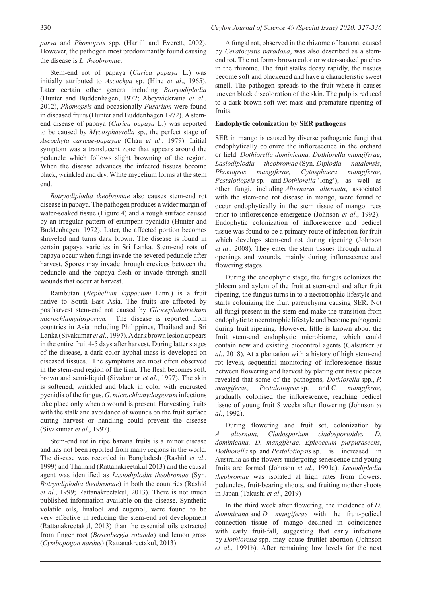*parva* and *Phomopsis* spp. (Hartill and Everett, 2002). However, the pathogen most predominantly found causing the disease is *L. theobromae*.

Stem-end rot of papaya (*Carica papaya* L.) was initially attributed to *Ascochya* sp. (Hine *et al*., 1965). Later certain other genera including *Botryodiplodia* (Hunter and Buddenhagen, 1972; Abeywickrama *et al*., 2012), *Phomopsis* and occasionally *Fusarium* were found in diseased fruits (Hunter and Buddenhagen 1972). A stemend disease of papaya (*Carica papaya* L.) was reported to be caused by *Mycosphaerella* sp., the perfect stage of *Ascochyta caricae-papayae* (Chau *et al*., 1979). Initial symptom was a translucent zone that appears around the peduncle which follows slight browning of the region. When the disease advances the infected tissues become black, wrinkled and dry. White mycelium forms at the stem end.

*Botryodiplodia theobromae* also causes stem-end rot disease in papaya. The pathogen produces a wider margin of water-soaked tissue (Figure 4) and a rough surface caused by an irregular pattern of erumpent pycnidia (Hunter and Buddenhagen, 1972). Later, the affected portion becomes shriveled and turns dark brown. The disease is found in certain papaya varieties in Sri Lanka. Stem-end rots of papaya occur when fungi invade the severed peduncle after harvest. Spores may invade through crevices between the peduncle and the papaya flesh or invade through small wounds that occur at harvest.

Rambutan (*Nephelium lappacium* Linn.) is a fruit native to South East Asia. The fruits are affected by postharvest stem-end rot caused by *Gliocephalotrichum microchlamydosporum.* The disease is reported from countries in Asia including Philippines, Thailand and Sri Lanka (Sivakumar *et al*., 1997). A dark brown lesion appears in the entire fruit 4-5 days after harvest. During latter stages of the disease, a dark color hyphal mass is developed on diseased tissues. The symptoms are most often observed in the stem-end region of the fruit. The flesh becomes soft, brown and semi-liquid (Sivakumar *et al*., 1997). The skin is softened, wrinkled and black in color with encrusted pycnidia of the fungus. *G. microchlamydosporum* infections take place only when a wound is present. Harvesting fruits with the stalk and avoidance of wounds on the fruit surface during harvest or handling could prevent the disease (Sivakumar *et al*., 1997).

Stem-end rot in ripe banana fruits is a minor disease and has not been reported from many regions in the world. The disease was recorded in Bangladesh (Rashid *et al*., 1999) and Thailand (Rattanakreetakul 2013) and the causal agent was identified as *Lasiodiplodia theobromae* (Syn. *Botryodiplodia theobromae*) in both the countries (Rashid *et al*., 1999; Rattanakreetakul, 2013). There is not much published information available on the disease. Synthetic volatile oils, linalool and eugenol, were found to be very effective in reducing the stem-end rot development (Rattanakreetakul, 2013) than the essential oils extracted from finger root (*Bosenbergia rotunda*) and lemon grass (*Cymbopogon nardus*) (Rattanakreetakul, 2013).

A fungal rot, observed in the rhizome of banana, caused by *Ceratocystis paradoxa*, was also described as a stemend rot. The rot forms brown color or water-soaked patches in the rhizome. The fruit stalks decay rapidly, the tissues become soft and blackened and have a characteristic sweet smell. The pathogen spreads to the fruit where it causes uneven black discoloration of the skin. The pulp is reduced to a dark brown soft wet mass and premature ripening of fruits.

#### **Endophytic colonization by SER pathogens**

SER in mango is caused by diverse pathogenic fungi that endophytically colonize the inflorescence in the orchard or field. *Dothiorella dominicana, Dothiorella mangiferae, Lasiodiplodia theobromae* (Syn. *Diplodia natalensis*, *Phomopsis mangiferae, Cytosphaera mangiferae, Pestalotiopsis* sp. and *Dothiorella* 'long'), as well as other fungi, including *Alternaria alternata*, associated with the stem-end rot disease in mango, were found to occur endophytically in the stem tissue of mango trees prior to inflorescence emergence (Johnson *et al*., 1992). Endophytic colonization of inflorescence and pedicel tissue was found to be a primary route of infection for fruit which develops stem-end rot during ripening (Johnson *et al*., 2008). They enter the stem tissues through natural openings and wounds, mainly during inflorescence and flowering stages.

During the endophytic stage, the fungus colonizes the phloem and xylem of the fruit at stem-end and after fruit ripening, the fungus turns in to a necrotrophic lifestyle and starts colonizing the fruit parenchyma causing SER. Not all fungi present in the stem-end make the transition from endophytic to necrotrophic lifestyle and become pathogenic during fruit ripening. However, little is known about the fruit stem-end endophytic microbiome, which could contain new and existing biocontrol agents (Galsurker *et al*., 2018). At a plantation with a history of high stem-end rot levels, sequential monitoring of inflorescence tissue between flowering and harvest by plating out tissue pieces revealed that some of the pathogens, *Dothiorella* spp., *P. mangiferae, Pestalotiopsis* sp. and *C. mangiferae,*  gradually colonised the inflorescence, reaching pedicel tissue of young fruit 8 weeks after flowering (Johnson *et al*., 1992).

During flowering and fruit set, colonization by *A. alternata, Cladosporium cladosporioides, D. dominicana, D. mangiferae, Epicoccum purpurascens*, *Dothiorella* sp. and *Pestalotiopsis* sp. is increased in Australia as the flowers undergoing senescence and young fruits are formed (Johnson *et al*., 1991a). *Lasiodiplodia theobromae* was isolated at high rates from flowers, peduncles, fruit-bearing shoots, and fruiting mother shoots in Japan (Takushi *et al*., 2019)

In the third week after flowering, the incidence of *D. dominicana* and *D. mangiferae* with the fruit-pedicel connection tissue of mango declined in coincidence with early fruit-fall, suggesting that early infections by *Dothiorella* spp. may cause fruitlet abortion (Johnson *et al*., 1991b). After remaining low levels for the next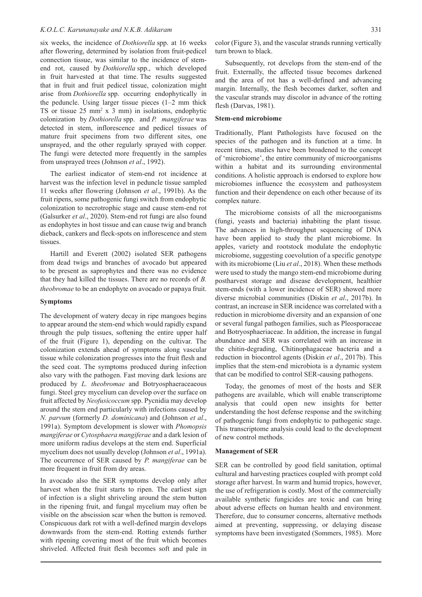#### *K.O.L.C. Karunanayake and N.K.B. Adikaram* 331

six weeks, the incidence of *Dothiorella* spp. at 16 weeks after flowering, determined by isolation from fruit-pedicel connection tissue, was similar to the incidence of stemend rot, caused by *Dothiorella* spp., which developed in fruit harvested at that time. The results suggested that in fruit and fruit pedicel tissue, colonization might arise from *Dothiorella* spp. occurring endophytically in the peduncle. Using larger tissue pieces (1–2 mm thick TS or tissue  $25 \text{ mm}^2 \times 3 \text{ mm}$ ) in isolations, endophytic colonization by *Dothiorella* spp. and *P. mangiferae* was detected in stem, inflorescence and pedicel tissues of mature fruit specimens from two different sites, one unsprayed, and the other regularly sprayed with copper. The fungi were detected more frequently in the samples from unsprayed trees (Johnson *et al*., 1992).

The earliest indicator of stem-end rot incidence at harvest was the infection level in peduncle tissue sampled 11 weeks after flowering (Johnson *et al*., 1991b). As the fruit ripens, some pathogenic fungi switch from endophytic colonization to necrotrophic stage and cause stem-end rot (Galsurker *et al*., 2020). Stem-end rot fungi are also found as endophytes in host tissue and can cause twig and branch dieback, cankers and fleck-spots on inflorescence and stem tissues.

Hartill and Everett (2002) isolated SER pathogens from dead twigs and branches of avocado but appeared to be present as saprophytes and there was no evidence that they had killed the tissues. There are no records of *B. theobromae* to be an endophyte on avocado or papaya fruit.

#### **Symptoms**

The development of watery decay in ripe mangoes begins to appear around the stem-end which would rapidly expand through the pulp tissues, softening the entire upper half of the fruit (Figure 1), depending on the cultivar. The colonization extends ahead of symptoms along vascular tissue while colonization progresses into the fruit flesh and the seed coat. The symptoms produced during infection also vary with the pathogen. Fast moving dark lesions are produced by *L. theobromae* and Botryosphaeraceaeous fungi. Steel grey mycelium can develop over the surface on fruit affected by *Neofusicoccum* spp. Pycnidia may develop around the stem end particularly with infections caused by *N. parvum* (formerly *D. dominicana*) and (Johnson *et al*., 1991a). Symptom development is slower with *Phomopsis mangiferae* or *Cytosphaera mangiferae* and a dark lesion of more uniform radius develops at the stem end. Superficial mycelium does not usually develop (Johnson *et al*., 1991a). The occurrence of SER caused by *P. mangiferae* can be more frequent in fruit from dry areas.

In avocado also the SER symptoms develop only after harvest when the fruit starts to ripen. The earliest sign of infection is a slight shriveling around the stem button in the ripening fruit, and fungal mycelium may often be visible on the abscission scar when the button is removed. Conspicuous dark rot with a well-defined margin develops downwards from the stem-end. Rotting extends further with ripening covering most of the fruit which becomes shriveled. Affected fruit flesh becomes soft and pale in

Subsequently, rot develops from the stem-end of the fruit. Externally, the affected tissue becomes darkened and the area of rot has a well-defined and advancing margin. Internally, the flesh becomes darker, soften and the vascular strands may discolor in advance of the rotting flesh (Darvas, 1981).

#### **Stem-end microbiome**

Traditionally, Plant Pathologists have focused on the species of the pathogen and its function at a time. In recent times, studies have been broadened to the concept of 'microbiome', the entire community of microorganisms within a habitat and its surrounding environmental conditions. A holistic approach is endorsed to explore how microbiomes influence the ecosystem and pathosystem function and their dependence on each other because of its complex nature.

The microbiome consists of all the microorganisms (fungi, yeasts and bacteria) inhabiting the plant tissue. The advances in high-throughput sequencing of DNA have been applied to study the plant microbiome. In apples, variety and rootstock modulate the endophytic microbiome, suggesting coevolution of a specific genotype with its microbiome (Liu *et al*., 2018). When these methods were used to study the mango stem-end microbiome during postharvest storage and disease development, healthier stem-ends (with a lower incidence of SER) showed more diverse microbial communities (Diskin *et al*., 2017b). In contrast, an increase in SER incidence was correlated with a reduction in microbiome diversity and an expansion of one or several fungal pathogen families, such as Pleosporaceae and Botryosphaeriaceae. In addition, the increase in fungal abundance and SER was correlated with an increase in the chitin-degrading, Chitinophagaceae bacteria and a reduction in biocontrol agents (Diskin *et al*., 2017b). This implies that the stem-end microbiota is a dynamic system that can be modified to control SER-causing pathogens.

Today, the genomes of most of the hosts and SER pathogens are available, which will enable transcriptome analysis that could open new insights for better understanding the host defense response and the switching of pathogenic fungi from endophytic to pathogenic stage. This transcriptome analysis could lead to the development of new control methods.

#### **Management of SER**

SER can be controlled by good field sanitation, optimal cultural and harvesting practices coupled with prompt cold storage after harvest. In warm and humid tropics, however, the use of refrigeration is costly. Most of the commercially available synthetic fungicides are toxic and can bring about adverse effects on human health and environment. Therefore, due to consumer concerns, alternative methods aimed at preventing, suppressing, or delaying disease symptoms have been investigated (Sommers, 1985). More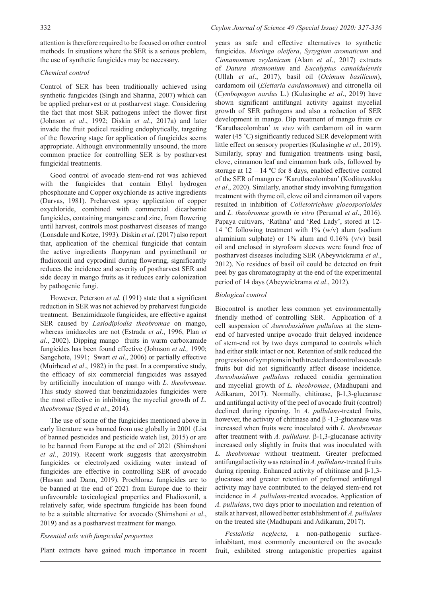attention is therefore required to be focused on other control methods. In situations where the SER is a serious problem, the use of synthetic fungicides may be necessary.

#### *Chemical control*

Control of SER has been traditionally achieved using synthetic fungicides (Singh and Sharma, 2007) which can be applied preharvest or at postharvest stage. Considering the fact that most SER pathogens infect the flower first (Johnson *et al*., 1992; Diskin *et al*., 2017a) and later invade the fruit pedicel residing endophytically, targeting of the flowering stage for application of fungicides seems appropriate. Although environmentally unsound, the more common practice for controlling SER is by postharvest fungicidal treatments.

Good control of avocado stem-end rot was achieved with the fungicides that contain Ethyl hydrogen phosphonate and Copper oxychloride as active ingredients (Darvas, 1981). Preharvest spray application of copper oxychloride, combined with commercial dicarbamic fungicides, containing manganese and zinc, from flowering until harvest, controls most postharvest diseases of mango (Lonsdale and Kotze, 1993). Diskin *et al*. (2017) also report that, application of the chemical fungicide that contain the active ingredients fluopyram and pyrimethanil or fludioxonil and cyprodinil during flowering, significantly reduces the incidence and severity of postharvest SER and side decay in mango fruits as it reduces early colonization by pathogenic fungi.

However, Peterson *et al*. (1991) state that a significant reduction in SER was not achieved by preharvest fungicide treatment. Benzimidazole fungicides, are effective against SER caused by *Lasiodiplodia theobromae* on mango, whereas imidazoles are not (Estrada *et al*., 1996, Plan *et al*., 2002). Dipping mango fruits in warm carboxamide fungicides has been found effective (Johnson *et al.,* 1990; Sangchote, 1991; Swart *et al*., 2006) or partially effective (Muirhead *et al*., 1982) in the past. In a comparative study, the efficacy of six commercial fungicides was assayed by artificially inoculation of mango with *L. theobromae*. This study showed that benzimidazoles fungicides were the most effective in inhibiting the mycelial growth of *L. theobromae* (Syed *et al*., 2014).

The use of some of the fungicides mentioned above in early literature was banned from use globally in 2001 (List of banned pesticides and pesticide watch list, 2015) or are to be banned from Europe at the end of 2021 (Shimshoni *et al*., 2019). Recent work suggests that azoxystrobin fungicides or electrolyzed oxidizing water instead of fungicides are effective in controlling SER of avocado (Hassan and Dann, 2019). Prochloraz fungicides are to be banned at the end of 2021 from Europe due to their unfavourable toxicological properties and Fludioxonil, a relatively safer, wide spectrum fungicide has been found to be a suitable alternative for avocado (Shimshoni *et al*., 2019) and as a postharvest treatment for mango.

#### *Essential oils with fungicidal properties*

Plant extracts have gained much importance in recent

years as safe and effective alternatives to synthetic fungicides. *Moringa oleifera*, *Syzygium aromaticum* and *Cinnamomum zeylanicum* (Alam *et al*., 2017) extracts of *Datura stramonium* and *Eucalyptus camaldulensis* (Ullah *et al*., 2017), basil oil (*Ocimum basilicum*), cardamom oil (*Elettaria cardamomum*) and citronella oil (*Cymbopogon nardus* L.) (Kulasinghe *et al*., 2019) have shown significant antifungal activity against mycelial growth of SER pathogens and also a reduction of SER development in mango. Dip treatment of mango fruits cv 'Karuthacolomban' *in vivo* with cardamom oil in warm water (45 °C) significantly reduced SER development with little effect on sensory properties (Kulasinghe *et al*., 2019). Similarly, spray and fumigation treatments using basil, clove, cinnamon leaf and cinnamon bark oils, followed by storage at  $12 - 14$  °C for 8 days, enabled effective control of the SER of mango cv 'Karuthacolomban' (Kodituwakku *et al*., 2020). Similarly, another study involving fumigation treatment with thyme oil, clove oil and cinnamon oil vapors resulted in inhibition of *Colletotrichum gloeosporioides* and *L. theobromae* growth *in vitro* (Perumal *et al*., 2016). Papaya cultivars, 'Rathna' and 'Red Lady', stored at 12- 14 °C following treatment with  $1\%$  (w/v) alum (sodium aluminium sulphate) or  $1\%$  alum and  $0.16\%$  (v/v) basil oil and enclosed in styrofoam sleeves were found free of postharvest diseases including SER (Abeywickrama *et al*., 2012). No residues of basil oil could be detected on fruit peel by gas chromatography at the end of the experimental period of 14 days (Abeywickrama *et al*., 2012).

### *Biological control*

Biocontrol is another less common yet environmentally friendly method of controlling SER. Application of a cell suspension of *Aureobasidium pullulans* at the stemend of harvested unripe avocado fruit delayed incidence of stem-end rot by two days compared to controls which had either stalk intact or not. Retention of stalk reduced the progression of symptoms in both treated and control avocado fruits but did not significantly affect disease incidence. *Aureobasidium pullulans* reduced conidia germination and mycelial growth of *L. theobromae*, (Madhupani and Adikaram, 2017). Normally, chitinase, β-1,3-glucanase and antifungal activity of the peel of avocado fruit (control) declined during ripening. In *A. pullulans*-treated fruits, however, the activity of chitinase and  $\beta$  -1,3-glucanase was increased when fruits were inoculated with *L. theobromae* after treatment with *A. pullulans*. β-1,3-glucanase activity increased only slightly in fruits that was inoculated with *L. theobromae* without treatment. Greater preformed antifungal activity was retained in *A. pullulans*-treated fruits during ripening. Enhanced activity of chitinase and β-1,3 glucanase and greater retention of preformed antifungal activity may have contributed to the delayed stem-end rot incidence in *A. pullulans*-treated avocados. Application of *A. pullulans*, two days prior to inoculation and retention of stalk at harvest, allowed better establishment of *A. pullulans* on the treated site (Madhupani and Adikaram, 2017).

*Pestalotia neglecta*, a non-pathogenic surfa*c*einhabitant, most commonly encountered on the avocado fruit, exhibited strong antagonistic properties against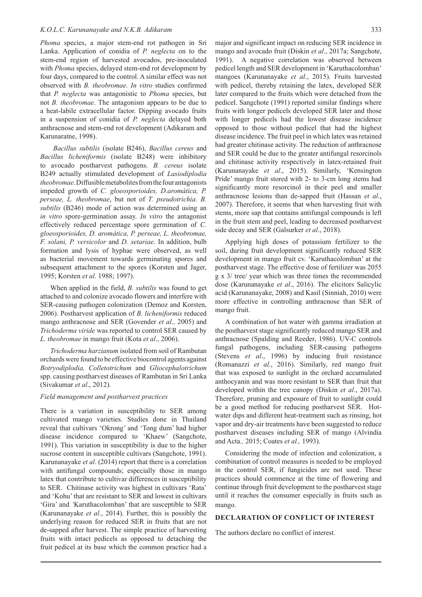*Phoma* species, a major stem-end rot pathogen in Sri Lanka. Application of conidia of *P. neglecta* on to the stem-end region of harvested avocados, pre-inoculated with *Phoma* species, delayed stem-end rot development by four days, compared to the control. A similar effect was not observed with *B. theobromae. In vitro* studies confirmed that *P. neglecta* was antagonistic to *Phoma* species, but not *B. theobromae*. The antagonism appears to be due to a heat-labile extracellular factor. Dipping avocado fruits in a suspension of conidia of *P. neglecta* delayed both anthracnose and stem-end rot development (Adikaram and Karunaratne, 1998).

 *Bacillus subtilis* (isolate B246), *Bacillus cereus* and *Bacillus licheniformis* (isolate B248) were inhibitory to avocado postharvest pathogens. *B. cereus* isolate B249 actually stimulated development of *Lasiodiplodia theobromae*. Diffusible metabolites from the four antagonists impeded growth of *C. gloeosporioides, D.aromática, P. perseae, L. theobromae*, but not of *T. pseudotrichia. B. subtilis* (B246) mode of action was determined using an *in vitro* spore-germination assay. *In vitro* the antagonist effectively reduced percentage spore germination of *C. gloeosporioides, D. aromática, P. perseae, L. theobromae, F. solani, P. versicolor* and *D. setariae*. In addition, bulb formation and lysis of hyphae were observed, as well as bacterial movement towards germinating spores and subsequent attachment to the spores (Korsten and Jager, 1995; Korsten *et al*. 1988; 1997).

When applied in the field, *B. subtilis* was found to get attached to and colonize avocado flowers and interfere with SER-causing pathogen colonization (Demoz and Korsten, 2006). Postharvest application of *B. licheniformis* reduced mango anthracnose and SER (Govender *et al.,* 2005) and *Trichoderma viride* was reported to control SER caused by *L. theobromae* in mango fruit (Kota *et al*., 2006).

*Trichoderma harzianum* isolated from soil of Rambutan orchards were found to be effective biocontrol agents against *Botryodiplodia, Colletotrichum* and *Gliocephalotrichum* spp. causing postharvest diseases of Rambutan in Sri Lanka (Sivakumar *et al*., 2012).

#### *Field management and postharvest practices*

There is a variation in susceptibility to SER among cultivated mango varieties. Studies done in Thailand reveal that cultivars 'Okrong' and 'Tong dum' had higher disease incidence compared to 'Khaew' (Sangchote, 1991). This variation in susceptibility is due to the higher sucrose content in susceptible cultivars (Sangchote, 1991). Karunanayake *et al*. (2014) report that there is a correlation with antifungal compounds; especially those in mango latex that contribute to cultivar differences in susceptibility to SER. Chitinase activity was highest in cultivars 'Rata' and 'Kohu' that are resistant to SER and lowest in cultivars 'Gira' and *'*Karuthacolomban' that are susceptible to SER (Karunanayake *et al*., 2014). Further, this is possibly the underlying reason for reduced SER in fruits that are not de-sapped after harvest. The simple practice of harvesting fruits with intact pedicels as opposed to detaching the fruit pedicel at its base which the common practice had a

major and significant impact on reducing SER incidence in mango and avocado fruit (Diskin *et al*., 2017a; Sangchote, 1991). A negative correlation was observed between pedicel length and SER development in 'Karuthacolomban' mangoes (Karunanayake *et al*., 2015). Fruits harvested with pedicel, thereby retaining the latex, developed SER later compared to the fruits which were detached from the pedicel. Sangchote (1991) reported similar findings where fruits with longer pedicels developed SER later and those with longer pedicels had the lowest disease incidence opposed to those without pedicel that had the highest disease incidence. The fruit peel in which latex was retained had greater chitinase activity. The reduction of anthracnose and SER could be due to the greater antifungal resorcinols and chitinase activity respectively in latex-retained fruit (Karunanayake *et al*., 2015). Similarly, 'Kensington Pride' mango fruit stored with 2- to 3-cm long stems had significantly more resorcinol in their peel and smaller anthracnose lesions than de-sapped fruit (Hassan *et al*., 2007). Therefore, it seems that when harvesting fruit with stems, more sap that contains antifungal compounds is left in the fruit stem and peel, leading to decreased postharvest side decay and SER (Galsurker *et al*., 2018).

Applying high doses of potassium fertilizer to the soil, during fruit development significantly reduced SER development in mango fruit cv. 'Karuthacolomban' at the postharvest stage. The effective dose of fertilizer was 2055 g x 3/ tree/ year which was three times the recommended dose (Karunanayake *et al*., 2016). The elicitors Salicylic acid (Karunanayake, 2008) and Kasil (Sinniah, 2010) were more effective in controlling anthracnose than SER of mango fruit.

A combination of hot water with gamma irradiation at the postharvest stage significantly reduced mango SER and anthracnose (Spalding and Reeder, 1986). UV-C controls fungal pathogens, including SER-causing pathogens (Stevens *et al*., 1996) by inducing fruit resistance (Romanazzi *et al*., 2016). Similarly, red mango fruit that was exposed to sunlight in the orchard accumulated anthocyanin and was more resistant to SER than fruit that developed within the tree canopy (Diskin *et al*., 2017a). Therefore, pruning and exposure of fruit to sunlight could be a good method for reducing postharvest SER. Hotwater dips and different heat-treatment such as rinsing, hot vapor and dry-air treatments have been suggested to reduce postharvest diseases including SER of mango (Alvindia and Acta*.,* 2015; Coates *et al.,* 1993).

Considering the mode of infection and colonization, a combination of control measures is needed to be employed in the control SER, if fungicides are not used. These practices should commence at the time of flowering and continue through fruit development to the postharvest stage until it reaches the consumer especially in fruits such as mango.

### **DECLARATION OF CONFLICT OF INTEREST**

The authors declare no conflict of interest.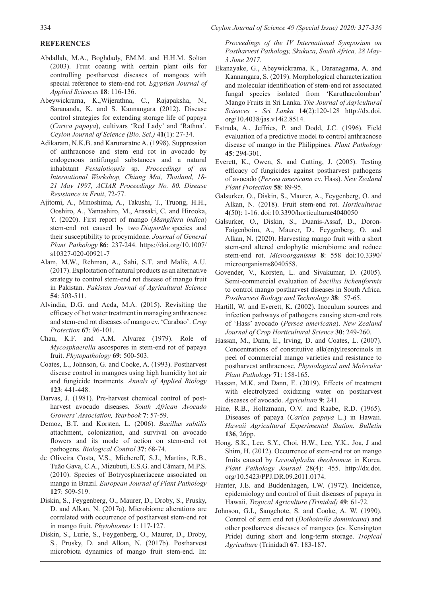# **REFERENCES**

- Abdallah, M.A., Boghdady, EM.M. and H.H.M. Soltan (2003). Fruit coating with certain plant oils for controlling postharvest diseases of mangoes with special reference to stem-end rot. *Egyptian Journal of Applied Sciences* **18**: 116-136.
- Abeywickrama, K.,Wijerathna, C., Rajapaksha, N., Sarananda, K. and S. Kannangara (2012). Disease control strategies for extending storage life of papaya (*Carica papaya*), cultivars 'Red Lady' and 'Rathna'. *Ceylon Journal of Science (Bio. Sci.)* **41**(1): 27-34.
- Adikaram, N.K.B. and Karunaratne A. (1998). Suppression of anthracnose and stem end rot in avocado by endogenous antifungal substances and a natural inhabitant *Pestalotiopsis* sp. *Proceedings of an International Workshop, Chiang Mai, Thailand, 18- 21 May 1997, ACIAR Proceedings No. 80. Disease Resistance in Fruit*, 72-77.
- Ajitomi, A., Minoshima, A., Takushi, T., Truong, H.H., Ooshiro, A., Yamashiro, M., Arasaki, C. and Hirooka, Y. (2020). First report of mango (*Mangifera indica*) stem-end rot caused by two *Diaporthe* species and their susceptibility to procymidone. *Journal of General Plant Pathology* **86**: 237-244. https://doi.org/10.1007/ s10327-020-00921-7
- Alam, M.W., Rehman, A., Sahi, S.T. and Malik, A.U. (2017). Exploitation of natural products as an alternative strategy to control stem-end rot disease of mango fruit in Pakistan. *Pakistan Journal of Agricultural Science* **54**: 503-511.
- Alvindia, D.G. and Acda, M.A. (2015). Revisiting the efficacy of hot water treatment in managing anthracnose and stem-end rot diseases of mango cv. 'Carabao'. *Crop Protection* **67**: 96-101.
- Chau, K.F. and A.M. Alvarez (1979). Role of *Mycosphaerella* ascospores in stem-end rot of papaya fruit. *Phytopathology* **69**: 500-503.
- Coates, L., Johnson, G. and Cooke, A. (1993). Postharvest disease control in mangoes using high humidity hot air and fungicide treatments. *Annals of Applied Biology* **123**: 441-448.
- Darvas, J. (1981). Pre-harvest chemical control of postharvest avocado diseases. *South African Avocado Growers' Association, Yearbook* **7**: 57-59.
- Demoz, B.T. and Korsten, L. (2006). *Bacillus subtilis* attachment, colonization, and survival on avocado flowers and its mode of action on stem-end rot pathogens. *Biological Control* **37**: 68-74.
- de Oliveira Costa, V.S., Michereff, S.J., Martins, R.B., Tuão Gava, C.A., Mizubuti, E.S.G. and Câmara, M.P.S. (2010). Species of Botryosphaeriaceae associated on mango in Brazil. *European Journal of Plant Pathology* **127**: 509-519.
- Diskin, S., Feygenberg, O., Maurer, D., Droby, S., Prusky, D. and Alkan, N. (2017a). Microbiome alterations are correlated with occurrence of postharvest stem-end rot in mango fruit. *Phytobiomes* **1**: 117-127.
- Diskin, S., Lurie, S., Feygenberg, O., Maurer, D., Droby, S., Prusky, D. and Alkan, N. (2017b). Postharvest microbiota dynamics of mango fruit stem-end. In:

*Proceedings of the IV International Symposium on Postharvest Pathology, Skukuza, South Africa, 28 May-3 June 2017*.

- Ekanayake, G., Abeywickrama, K., Daranagama, A. and Kannangara, S. (2019). Morphological characterization and molecular identification of stem-end rot associated fungal species isolated from 'Karuthacolomban' Mango Fruits in Sri Lanka. *The Journal of Agricultural Sciences - Sri Lanka* **14**(2):120-128 http://dx.doi. org/10.4038/jas.v14i2.8514.
- Estrada, A., Jeffries, P. and Dodd, J.C. (1996). Field evaluation of a predictive model to control anthracnose disease of mango in the Philippines. *Plant Pathology* **45**: 294-301.
- Everett, K., Owen, S. and Cutting, J. (2005). Testing efficacy of fungicides against postharvest pathogens of avocado (*Persea americana* cv. Hass). *New Zealand Plant Protection* **58**: 89-95.
- Galsurker, O., Diskin, S., Maurer, A., Feygenberg, O. and Alkan, N. (2018). Fruit stem-end rot. *Horticulturae* **4**(50): 1-16. doi:10.3390/horticulturae4040050
- Galsurker, O., Diskin, S., Duanis-Assaf, D., Doron-Faigenboim, A., Maurer, D., Feygenberg, O. and Alkan, N. (2020). Harvesting mango fruit with a short stem-end altered endophytic microbiome and reduce stem-end rot. *Microorganisms* **8**: 558 doi:10.3390/ microorganisms8040558.
- Govender, V., Korsten, L. and Sivakumar, D. (2005). Semi-commercial evaluation of *bacillus licheniformis* to control mango postharvest diseases in South Africa. *Postharvest Biology and Technology* **38**: 57-65.
- Hartill, W. and Everett, K. (2002). Inoculum sources and infection pathways of pathogens causing stem-end rots of 'Hass' avocado (*Persea americana*). *New Zealand Journal of Crop Horticultural Science* **30**: 249-260.
- Hassan, M., Dann, E., Irving, D. and Coates, L. (2007). Concentrations of constitutive alk(en)ylresorcinols in peel of commercial mango varieties and resistance to postharvest anthracnose. *Physiological and Molecular Plant Pathology* **71**: 158-165.
- Hassan, M.K. and Dann, E. (2019). Effects of treatment with electrolyzed oxidizing water on postharvest diseases of avocado. *Agriculture* **9**: 241.
- Hine, R.B., Holtzmann, O.V. and Raabe, R.D. (1965). Diseases of papaya (*Carica papaya* L.) in Hawaii. *Hawaii Agricultural Experimental Station. Bulletin* **136**, 26pp.
- Hong, S.K., Lee, S.Y., Choi, H.W., Lee, Y.K., Joa, J and Shim, H. (2012). Occurrence of stem-end rot on mango fruits caused by *Lasiodiplodia theobromae* in Korea. *Plant Pathology Journal* 28(4): 455. http://dx.doi. org/10.5423/PPJ.DR.09.2011.0174.
- Hunter, J.E. and Buddenhagen, I.W. (1972). Incidence, epidemiology and control of fruit diseases of papaya in Hawaii. *Tropical Agriculture (Trinidad)* **49**: 61-72.
- Johnson, G.I., Sangchote, S. and Cooke, A. W. (1990). Control of stem end rot (*Dothoirella dominicana*) and other postharvest diseases of mangoes (cv. Kensington Pride) during short and long-term storage. *Tropical Agriculture* (Trinidad) **67**: 183-187.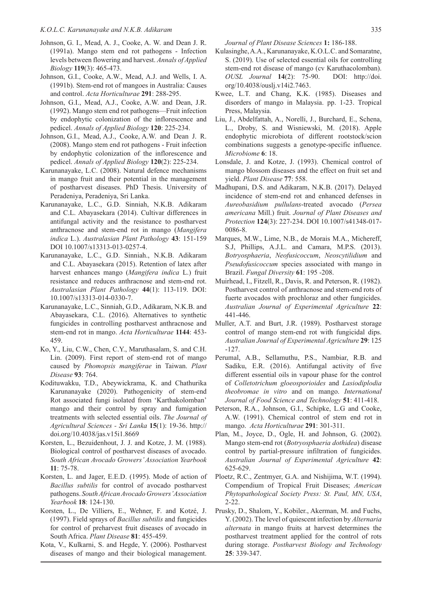- Johnson, G. I., Mead, A. J., Cooke, A. W. and Dean J. R. (1991a). Mango stem end rot pathogens - Infection levels between flowering and harvest. *Annals of Applied Biology* **119**(3): 465-473.
- Johnson, G.I., Cooke, A.W., Mead, A.J. and Wells, I. A. (1991b). Stem-end rot of mangoes in Australia: Causes and control. *Acta Horticulturae* **291**: 288-295.
- Johnson, G.I., Mead, A.J., Cooke, A.W. and Dean, J.R. (1992). Mango stem end rot pathogens—Fruit infection by endophytic colonization of the inflorescence and pedicel. *Annals of Applied Biology* **120**: 225-234.
- Johnson, G.I., Mead, A.J., Cooke, A.W. and Dean J. R. (2008). Mango stem end rot pathogens - Fruit infection by endophytic colonization of the inflorescence and pedicel. *Annals of Applied Biology* **120**(2): 225-234.
- Karunanayake, L.C. (2008). Natural defence mechanisms in mango fruit and their potential in the management of postharvest diseases. PhD Thesis. University of Peradeniya, Peradeniya, Sri Lanka.
- Karunanayake, L.C., G.D. Sinniah, N.K.B. Adikaram and C.L. Abayasekara (2014). Cultivar differences in antifungal activity and the resistance to postharvest anthracnose and stem-end rot in mango (*Mangifera indica* L.). *Australasian Plant Pathology* **43**: 151-159 DOI 10.1007/s13313-013-0257-4.
- Karunanayake, L.C., G.D. Sinniah., N.K.B. Adikaram and C.L. Abayasekara (2015). Retention of latex after harvest enhances mango (*Mangifera indica* L.) fruit resistance and reduces anthracnose and stem-end rot. *Australasian Plant Pathology* **44**(1): 113-119. DOI: 10.1007/s13313-014-0330-7.
- Karunanayake, L.C., Sinniah, G.D., Adikaram, N.K.B. and Abayasekara, C.L. (2016). Alternatives to synthetic fungicides in controlling postharvest anthracnose and stem-end rot in mango. *Acta Horticulturae* **1144**: 453- 459.
- Ko, Y., Liu, C.W., Chen, C.Y., Maruthasalam, S. and C.H. Lin. (2009). First report of stem-end rot of mango caused by *Phomopsis mangiferae* in Taiwan. *Plant Disease* **93**: 764.
- Kodituwakku, T.D., Abeywickrama, K. and Chathurika Karunanayake (2020). Pathogenicity of stem-end Rot associated fungi isolated from 'Karthakolomban' mango and their control by spray and fumigation treatments with selected essential oils. *The Journal of Agricultural Sciences - Sri Lanka* **15**(1): 19-36. http:// doi.org/10.4038/jas.v15i1.8669
- Korsten, L., Bezuidenhout, J. J. and Kotze, J. M. (1988). Biological control of postharvest diseases of avocado. *South African Avocado Growers' Association Yearbook* **11**: 75-78.
- Korsten, L. and Jager, E.E.D. (1995). Mode of action of *Bacillus subtilis* for control of avocado postharvest pathogens. *South African Avocado Growers' Association Yearbook* **18**: 124-130.
- Korsten, L., De Villiers, E., Wehner, F. and Kotzé, J. (1997). Field sprays of *Bacillus subtilis* and fungicides for control of preharvest fruit diseases of avocado in South Africa. *Plant Disease* **81**: 455-459.
- Kota, V., Kulkarni, S. and Hegde, Y. (2006). Postharvest diseases of mango and their biological management.

*Journal of Plant Disease Sciences* **1:** 186-188.

- Kulasinghe, A.A., Karunanayake, K.O.L.C. and Somaratne, S. (2019). Use of selected essential oils for controlling stem-end rot disease of mango (cv Karuthacolomban). *OUSL Journal* **14**(2): 75-90. DOI: http://doi. org/10.4038/ouslj.v14i2.7463.
- Kwee, L.T. and Chang, K.K. (1985). Diseases and disorders of mango in Malaysia. pp. 1-23. Tropical Press, Malaysia.
- Liu, J., Abdelfattah, A., Norelli, J., Burchard, E., Schena, L., Droby, S. and Wisniewski, M. (2018). Apple endophytic microbiota of different rootstock/scion combinations suggests a genotype-specific influence. *Microbiome* **6**: 18.
- Lonsdale, J. and Kotze, J. (1993). Chemical control of mango blossom diseases and the effect on fruit set and yield. *Plant Disease* **77**: 558.
- Madhupani, D.S. and Adikaram, N.K.B. (2017). Delayed incidence of stem-end rot and enhanced defenses in *Aureobasidium pullulans*-treated avocado (*Persea americana* Mill.) fruit. *Journal of Plant Diseases and Protection* **124**(3): 227-234. DOI 10.1007/s41348-017- 0086-8.
- Marques, M.W., Lime, N.B., de Morais M.A., Michereff, S.J, Phillips, A.J.L. and Camara, M.P.S. (2013). *Botryosphaeria*, *Neofusicoccum*, *Neoscytilidium* and *Pseudofusicoccum* species associated with mango in Brazil. *Fungal Diversity* **61**: 195 -208.
- Muirhead, I., Fitzell, R., Davis, R. and Peterson, R. (1982). Postharvest control of anthracnose and stem-end rots of fuerte avocados with prochloraz and other fungicides. *Australian Journal of Experimental Agriculture* **22**: 441-446.
- Muller, A.T. and Burt, J.R. (1989). Postharvest storage control of mango stem-end rot with fungicidal dips. *Australian Journal of Experimental Agriculture* **29**: 125 -127.
- Perumal, A.B., Sellamuthu, P.S., Nambiar, R.B. and Sadiku, E.R. (2016). Antifungal activity of five different essential oils in vapour phase for the control of *Colletotrichum gloeosporioides* and *Lasiodiplodia theobromae in vitro* and on mango. *International Journal of Food Science and Technology* **51**: 411-418.
- Peterson, R.A., Johnson, G.I., Schipke, L.G and Cooke, A.W. (1991). Chemical control of stem end rot in mango. *Acta Horticulturae* **291**: 301-311.
- Plan, M., Joyce, D., Ogle, H. and Johnson, G. (2002). Mango stem-end rot (*Botryosphaeria dothidea*) disease control by partial-pressure infiltration of fungicides. *Australian Journal of Experimental Agriculture* **42**: 625-629.
- Ploetz, R.C., Zentmyer, G.A. and Nishijima, W.T. (1994). Compendium of Tropical Fruit Diseases; *American Phytopathological Society Press: St. Paul, MN, USA*, 2-22.
- Prusky, D., Shalom, Y., Kobiler., Akerman, M. and Fuchs, Y. (2002). The level of quiescent infection by *Alternaria alternata* in mango fruits at harvest determines the postharvest treatment applied for the control of rots during storage. *Postharvest Biology and Technology*  **25**: 339-347.